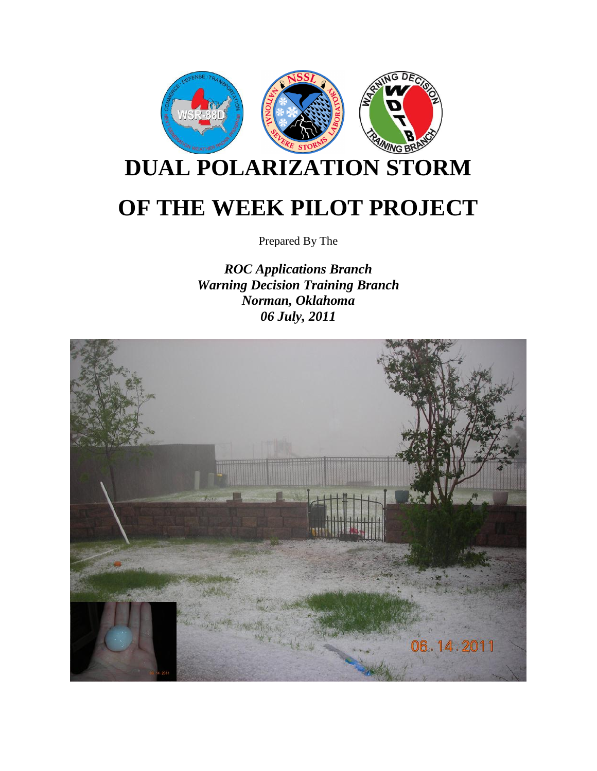

Prepared By The

*ROC Applications Branch Warning Decision Training Branch Norman, Oklahoma 06 July, 2011*

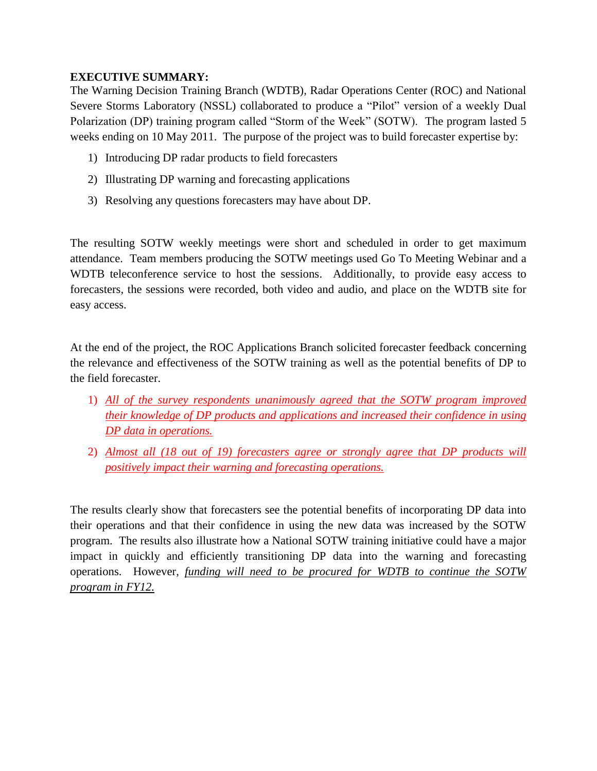## **EXECUTIVE SUMMARY:**

The Warning Decision Training Branch (WDTB), Radar Operations Center (ROC) and National Severe Storms Laboratory (NSSL) collaborated to produce a "Pilot" version of a weekly Dual Polarization (DP) training program called "Storm of the Week" (SOTW). The program lasted 5 weeks ending on 10 May 2011. The purpose of the project was to build forecaster expertise by:

- 1) Introducing DP radar products to field forecasters
- 2) Illustrating DP warning and forecasting applications
- 3) Resolving any questions forecasters may have about DP.

The resulting SOTW weekly meetings were short and scheduled in order to get maximum attendance. Team members producing the SOTW meetings used Go To Meeting Webinar and a WDTB teleconference service to host the sessions. Additionally, to provide easy access to forecasters, the sessions were recorded, both video and audio, and place on the WDTB site for easy access.

At the end of the project, the ROC Applications Branch solicited forecaster feedback concerning the relevance and effectiveness of the SOTW training as well as the potential benefits of DP to the field forecaster.

- 1) *All of the survey respondents unanimously agreed that the SOTW program improved their knowledge of DP products and applications and increased their confidence in using DP data in operations.*
- 2) *Almost all (18 out of 19) forecasters agree or strongly agree that DP products will positively impact their warning and forecasting operations.*

The results clearly show that forecasters see the potential benefits of incorporating DP data into their operations and that their confidence in using the new data was increased by the SOTW program. The results also illustrate how a National SOTW training initiative could have a major impact in quickly and efficiently transitioning DP data into the warning and forecasting operations. However, *funding will need to be procured for WDTB to continue the SOTW program in FY12.*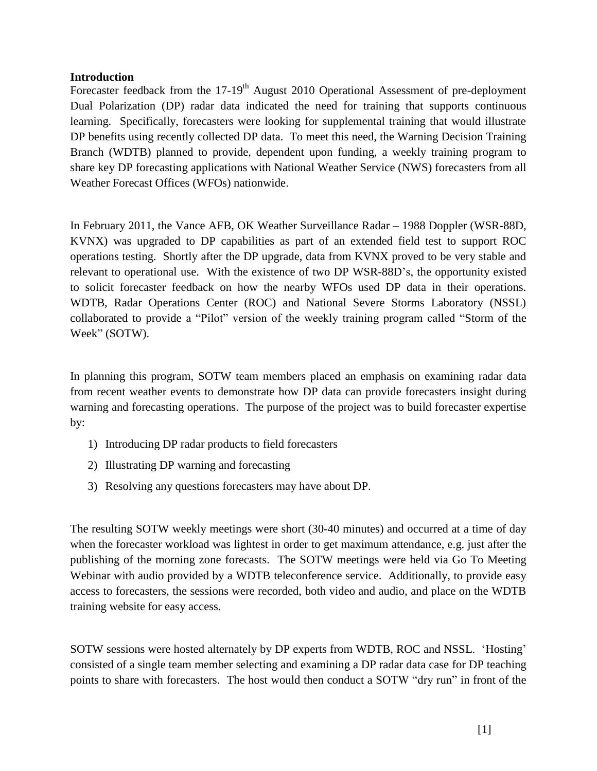### **Introduction**

Forecaster feedback from the 17-19<sup>th</sup> August 2010 Operational Assessment of pre-deployment Dual Polarization (DP) radar data indicated the need for training that supports continuous learning. Specifically, forecasters were looking for supplemental training that would illustrate DP benefits using recently collected DP data. To meet this need, the Warning Decision Training Branch (WDTB) planned to provide, dependent upon funding, a weekly training program to share key DP forecasting applications with National Weather Service (NWS) forecasters from all Weather Forecast Offices (WFOs) nationwide.

In February 2011, the Vance AFB, OK Weather Surveillance Radar – 1988 Doppler (WSR-88D, KVNX) was upgraded to DP capabilities as part of an extended field test to support ROC operations testing. Shortly after the DP upgrade, data from KVNX proved to be very stable and relevant to operational use. With the existence of two DP WSR-88D"s, the opportunity existed to solicit forecaster feedback on how the nearby WFOs used DP data in their operations. WDTB, Radar Operations Center (ROC) and National Severe Storms Laboratory (NSSL) collaborated to provide a "Pilot" version of the weekly training program called "Storm of the Week" (SOTW).

In planning this program, SOTW team members placed an emphasis on examining radar data from recent weather events to demonstrate how DP data can provide forecasters insight during warning and forecasting operations. The purpose of the project was to build forecaster expertise by:

- 1) Introducing DP radar products to field forecasters
- 2) Illustrating DP warning and forecasting
- 3) Resolving any questions forecasters may have about DP.

The resulting SOTW weekly meetings were short (30-40 minutes) and occurred at a time of day when the forecaster workload was lightest in order to get maximum attendance, e.g. just after the publishing of the morning zone forecasts. The SOTW meetings were held via Go To Meeting Webinar with audio provided by a WDTB teleconference service. Additionally, to provide easy access to forecasters, the sessions were recorded, both video and audio, and place on the WDTB training website for easy access.

SOTW sessions were hosted alternately by DP experts from WDTB, ROC and NSSL. "Hosting" consisted of a single team member selecting and examining a DP radar data case for DP teaching points to share with forecasters. The host would then conduct a SOTW "dry run" in front of the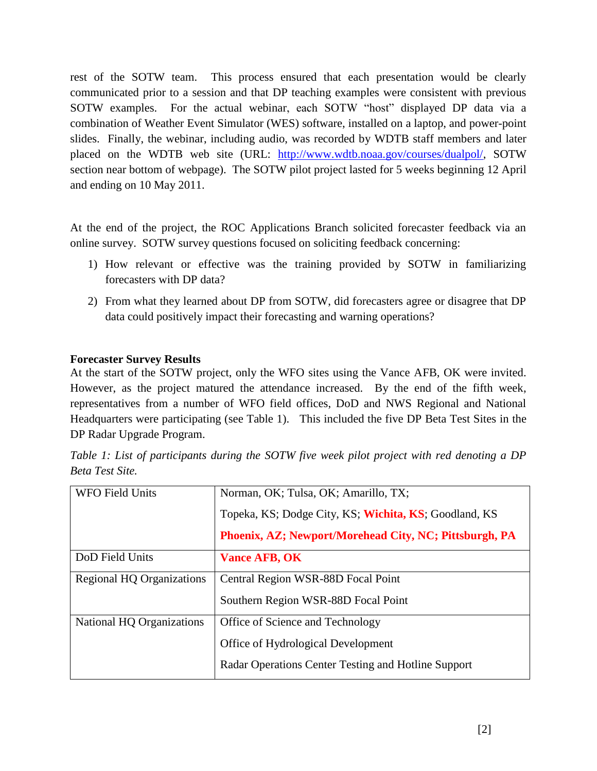rest of the SOTW team. This process ensured that each presentation would be clearly communicated prior to a session and that DP teaching examples were consistent with previous SOTW examples. For the actual webinar, each SOTW "host" displayed DP data via a combination of Weather Event Simulator (WES) software, installed on a laptop, and power-point slides. Finally, the webinar, including audio, was recorded by WDTB staff members and later placed on the WDTB web site (URL: [http://www.wdtb.noaa.gov/courses/dualpol/,](http://www.wdtb.noaa.gov/courses/dualpol/) SOTW section near bottom of webpage). The SOTW pilot project lasted for 5 weeks beginning 12 April and ending on 10 May 2011.

At the end of the project, the ROC Applications Branch solicited forecaster feedback via an online survey. SOTW survey questions focused on soliciting feedback concerning:

- 1) How relevant or effective was the training provided by SOTW in familiarizing forecasters with DP data?
- 2) From what they learned about DP from SOTW, did forecasters agree or disagree that DP data could positively impact their forecasting and warning operations?

## **Forecaster Survey Results**

At the start of the SOTW project, only the WFO sites using the Vance AFB, OK were invited. However, as the project matured the attendance increased. By the end of the fifth week, representatives from a number of WFO field offices, DoD and NWS Regional and National Headquarters were participating (see Table 1). This included the five DP Beta Test Sites in the DP Radar Upgrade Program.

| <b>WFO Field Units</b>    | Norman, OK; Tulsa, OK; Amarillo, TX;                   |
|---------------------------|--------------------------------------------------------|
|                           | Topeka, KS; Dodge City, KS; Wichita, KS; Goodland, KS  |
|                           | Phoenix, AZ; Newport/Morehead City, NC; Pittsburgh, PA |
| DoD Field Units           | <b>Vance AFB, OK</b>                                   |
| Regional HQ Organizations | Central Region WSR-88D Focal Point                     |
|                           | Southern Region WSR-88D Focal Point                    |
| National HQ Organizations | Office of Science and Technology                       |
|                           | Office of Hydrological Development                     |
|                           | Radar Operations Center Testing and Hotline Support    |

*Table 1: List of participants during the SOTW five week pilot project with red denoting a DP Beta Test Site.*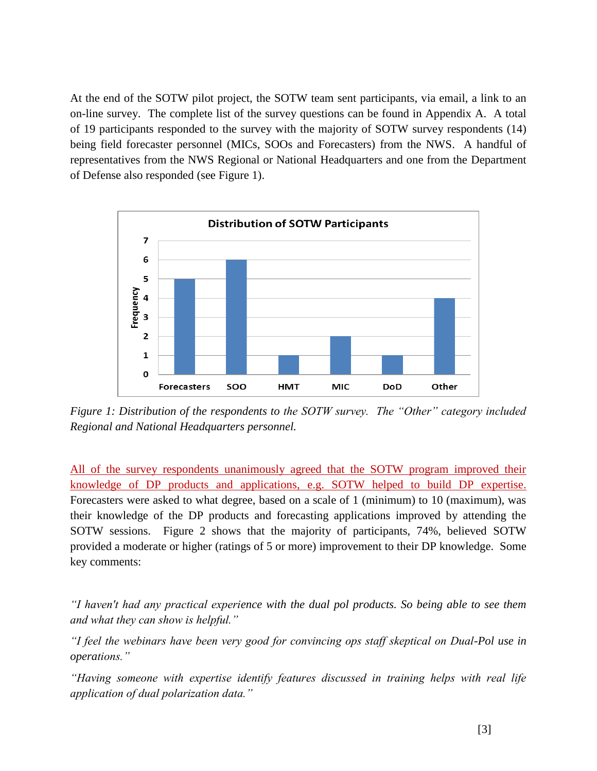At the end of the SOTW pilot project, the SOTW team sent participants, via email, a link to an on-line survey. The complete list of the survey questions can be found in Appendix A. A total of 19 participants responded to the survey with the majority of SOTW survey respondents (14) being field forecaster personnel (MICs, SOOs and Forecasters) from the NWS. A handful of representatives from the NWS Regional or National Headquarters and one from the Department of Defense also responded (see Figure 1).



*Figure 1: Distribution of the respondents to the SOTW survey. The "Other" category included Regional and National Headquarters personnel.* 

All of the survey respondents unanimously agreed that the SOTW program improved their knowledge of DP products and applications, e.g. SOTW helped to build DP expertise. Forecasters were asked to what degree, based on a scale of 1 (minimum) to 10 (maximum), was their knowledge of the DP products and forecasting applications improved by attending the SOTW sessions. Figure 2 shows that the majority of participants, 74%, believed SOTW provided a moderate or higher (ratings of 5 or more) improvement to their DP knowledge. Some key comments:

*"I haven't had any practical experience with the dual pol products. So being able to see them and what they can show is helpful."*

*"I feel the webinars have been very good for convincing ops staff skeptical on Dual-Pol use in operations."*

*"Having someone with expertise identify features discussed in training helps with real life application of dual polarization data."*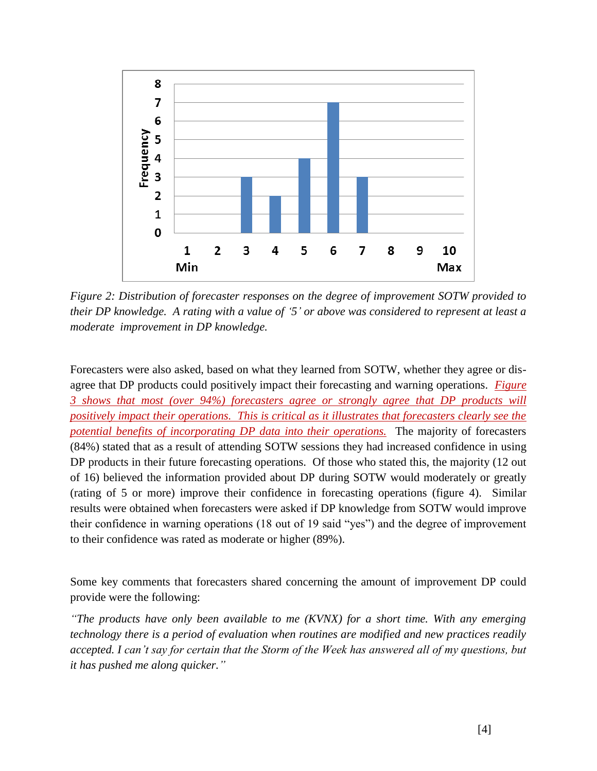

*Figure 2: Distribution of forecaster responses on the degree of improvement SOTW provided to their DP knowledge. A rating with a value of "5" or above was considered to represent at least a moderate improvement in DP knowledge.* 

Forecasters were also asked, based on what they learned from SOTW, whether they agree or disagree that DP products could positively impact their forecasting and warning operations. *Figure 3 shows that most (over 94%) forecasters agree or strongly agree that DP products will positively impact their operations. This is critical as it illustrates that forecasters clearly see the potential benefits of incorporating DP data into their operations.* The majority of forecasters (84%) stated that as a result of attending SOTW sessions they had increased confidence in using DP products in their future forecasting operations. Of those who stated this, the majority (12 out of 16) believed the information provided about DP during SOTW would moderately or greatly (rating of 5 or more) improve their confidence in forecasting operations (figure 4). Similar results were obtained when forecasters were asked if DP knowledge from SOTW would improve their confidence in warning operations (18 out of 19 said "yes") and the degree of improvement to their confidence was rated as moderate or higher (89%).

Some key comments that forecasters shared concerning the amount of improvement DP could provide were the following:

*"The products have only been available to me (KVNX) for a short time. With any emerging technology there is a period of evaluation when routines are modified and new practices readily accepted. I can"t say for certain that the Storm of the Week has answered all of my questions, but it has pushed me along quicker."*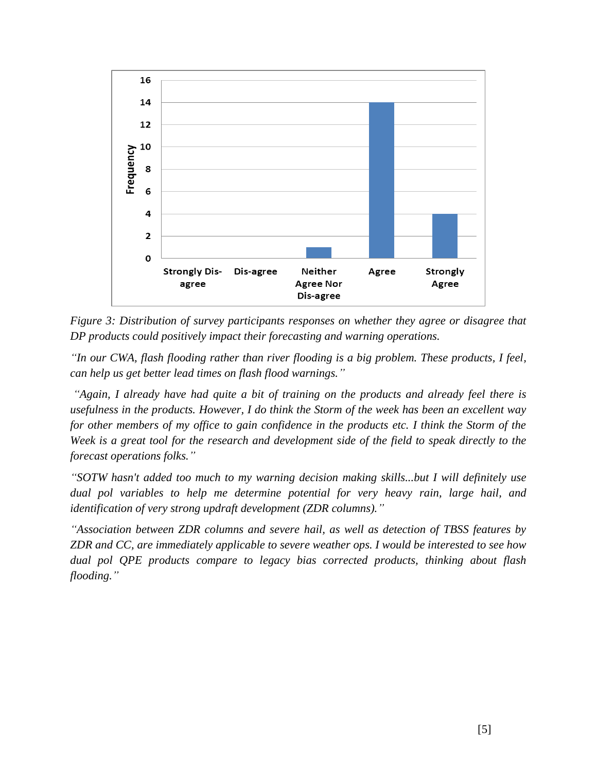

*Figure 3: Distribution of survey participants responses on whether they agree or disagree that DP products could positively impact their forecasting and warning operations.* 

*"In our CWA, flash flooding rather than river flooding is a big problem. These products, I feel, can help us get better lead times on flash flood warnings."*

*"Again, I already have had quite a bit of training on the products and already feel there is usefulness in the products. However, I do think the Storm of the week has been an excellent way for other members of my office to gain confidence in the products etc. I think the Storm of the Week is a great tool for the research and development side of the field to speak directly to the forecast operations folks."*

*"SOTW hasn't added too much to my warning decision making skills...but I will definitely use dual pol variables to help me determine potential for very heavy rain, large hail, and identification of very strong updraft development (ZDR columns)."*

*"Association between ZDR columns and severe hail, as well as detection of TBSS features by ZDR and CC, are immediately applicable to severe weather ops. I would be interested to see how dual pol QPE products compare to legacy bias corrected products, thinking about flash flooding."*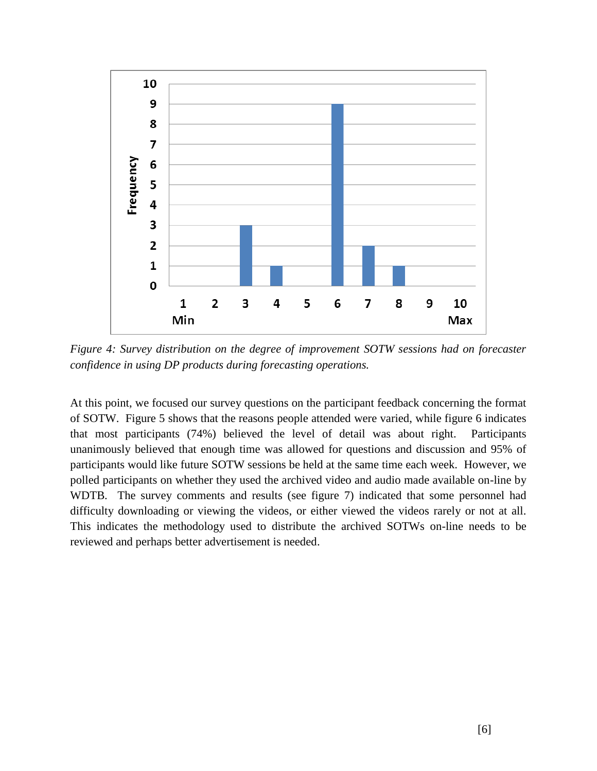

*Figure 4: Survey distribution on the degree of improvement SOTW sessions had on forecaster confidence in using DP products during forecasting operations.* 

At this point, we focused our survey questions on the participant feedback concerning the format of SOTW. Figure 5 shows that the reasons people attended were varied, while figure 6 indicates that most participants (74%) believed the level of detail was about right. Participants unanimously believed that enough time was allowed for questions and discussion and 95% of participants would like future SOTW sessions be held at the same time each week. However, we polled participants on whether they used the archived video and audio made available on-line by WDTB. The survey comments and results (see figure 7) indicated that some personnel had difficulty downloading or viewing the videos, or either viewed the videos rarely or not at all. This indicates the methodology used to distribute the archived SOTWs on-line needs to be reviewed and perhaps better advertisement is needed.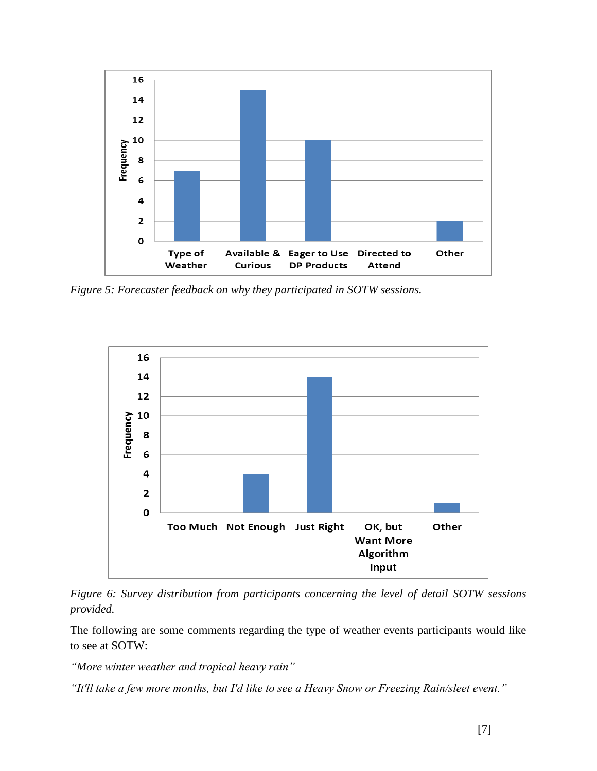

*Figure 5: Forecaster feedback on why they participated in SOTW sessions.* 



*Figure 6: Survey distribution from participants concerning the level of detail SOTW sessions provided.* 

The following are some comments regarding the type of weather events participants would like to see at SOTW:

*"More winter weather and tropical heavy rain"*

*"It'll take a few more months, but I'd like to see a Heavy Snow or Freezing Rain/sleet event."*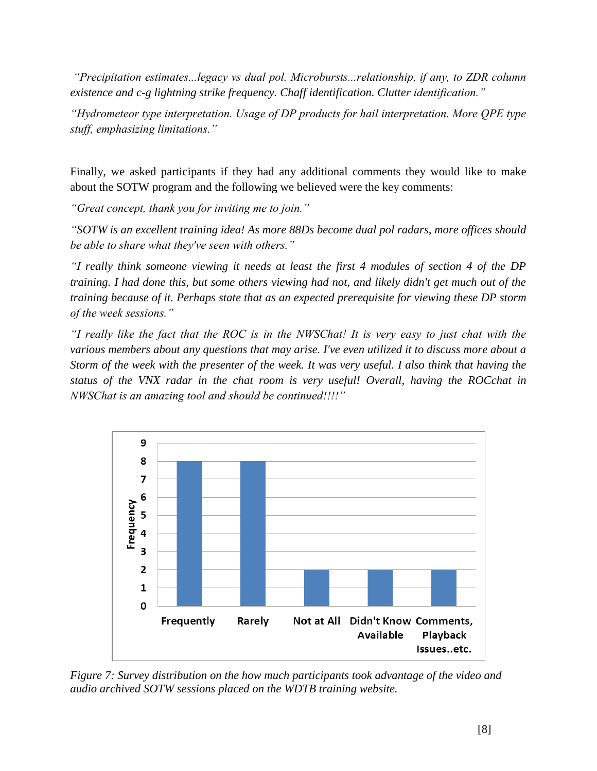*"Precipitation estimates...legacy vs dual pol. Microbursts...relationship, if any, to ZDR column existence and c-g lightning strike frequency. Chaff identification. Clutter identification."*

*"Hydrometeor type interpretation. Usage of DP products for hail interpretation. More QPE type stuff, emphasizing limitations."*

Finally, we asked participants if they had any additional comments they would like to make about the SOTW program and the following we believed were the key comments:

*"Great concept, thank you for inviting me to join."*

*"SOTW is an excellent training idea! As more 88Ds become dual pol radars, more offices should be able to share what they've seen with others."*

*"I really think someone viewing it needs at least the first 4 modules of section 4 of the DP training. I had done this, but some others viewing had not, and likely didn't get much out of the training because of it. Perhaps state that as an expected prerequisite for viewing these DP storm of the week sessions."*

*"I really like the fact that the ROC is in the NWSChat! It is very easy to just chat with the various members about any questions that may arise. I've even utilized it to discuss more about a Storm of the week with the presenter of the week. It was very useful. I also think that having the status of the VNX radar in the chat room is very useful! Overall, having the ROCchat in NWSChat is an amazing tool and should be continued!!!!"*



*Figure 7: Survey distribution on the how much participants took advantage of the video and audio archived SOTW sessions placed on the WDTB training website.*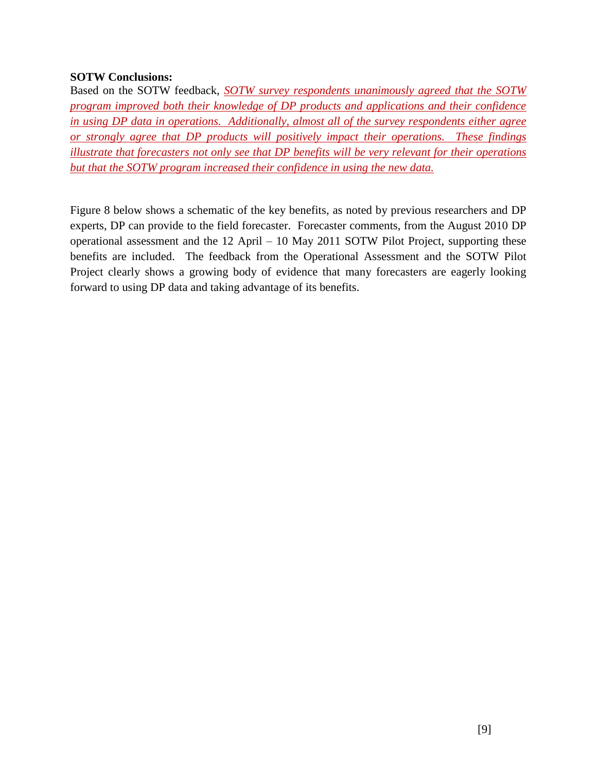## **SOTW Conclusions:**

Based on the SOTW feedback, *SOTW survey respondents unanimously agreed that the SOTW program improved both their knowledge of DP products and applications and their confidence in using DP data in operations. Additionally, almost all of the survey respondents either agree or strongly agree that DP products will positively impact their operations. These findings illustrate that forecasters not only see that DP benefits will be very relevant for their operations but that the SOTW program increased their confidence in using the new data.* 

Figure 8 below shows a schematic of the key benefits, as noted by previous researchers and DP experts, DP can provide to the field forecaster. Forecaster comments, from the August 2010 DP operational assessment and the 12 April – 10 May 2011 SOTW Pilot Project, supporting these benefits are included. The feedback from the Operational Assessment and the SOTW Pilot Project clearly shows a growing body of evidence that many forecasters are eagerly looking forward to using DP data and taking advantage of its benefits.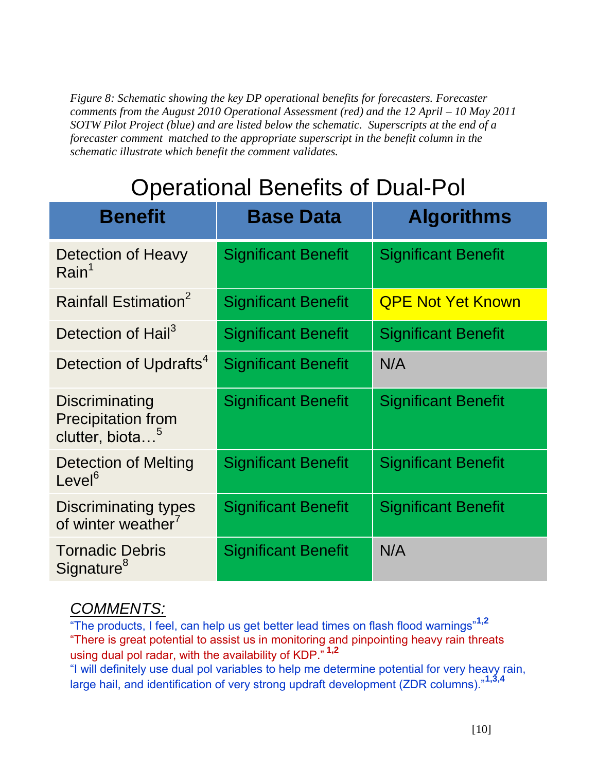*Figure 8: Schematic showing the key DP operational benefits for forecasters. Forecaster comments from the August 2010 Operational Assessment (red) and the 12 April – 10 May 2011 SOTW Pilot Project (blue) and are listed below the schematic. Superscripts at the end of a forecaster comment matched to the appropriate superscript in the benefit column in the schematic illustrate which benefit the comment validates.* 

## Operational Benefits of Dual-Pol

| <b>Benefit</b>                                                             | <b>Base Data</b>           | <b>Algorithms</b>          |
|----------------------------------------------------------------------------|----------------------------|----------------------------|
| Detection of Heavy<br>Rain <sup>1</sup>                                    | <b>Significant Benefit</b> | <b>Significant Benefit</b> |
| Rainfall Estimation <sup>2</sup>                                           | <b>Significant Benefit</b> | <b>QPE Not Yet Known</b>   |
| Detection of Hail <sup>3</sup>                                             | <b>Significant Benefit</b> | <b>Significant Benefit</b> |
| Detection of Updrafts <sup>4</sup>                                         | <b>Significant Benefit</b> | N/A                        |
| Discriminating<br><b>Precipitation from</b><br>clutter, biota <sup>5</sup> | <b>Significant Benefit</b> | <b>Significant Benefit</b> |
| Detection of Melting<br>Level <sup>6</sup>                                 | <b>Significant Benefit</b> | <b>Significant Benefit</b> |
| <b>Discriminating types</b><br>of winter weather <sup>7</sup>              | <b>Significant Benefit</b> | <b>Significant Benefit</b> |
| <b>Tornadic Debris</b><br>Signature <sup>8</sup>                           | <b>Significant Benefit</b> | N/A                        |

## *COMMENTS:*

"The products, I feel, can help us get better lead times on flash flood warnings"**1,2** "There is great potential to assist us in monitoring and pinpointing heavy rain threats using dual pol radar, with the availability of KDP." **1,2**

"I will definitely use dual pol variables to help me determine potential for very heavy rain, large hail, and identification of very strong updraft development (ZDR columns)."**1,3,4**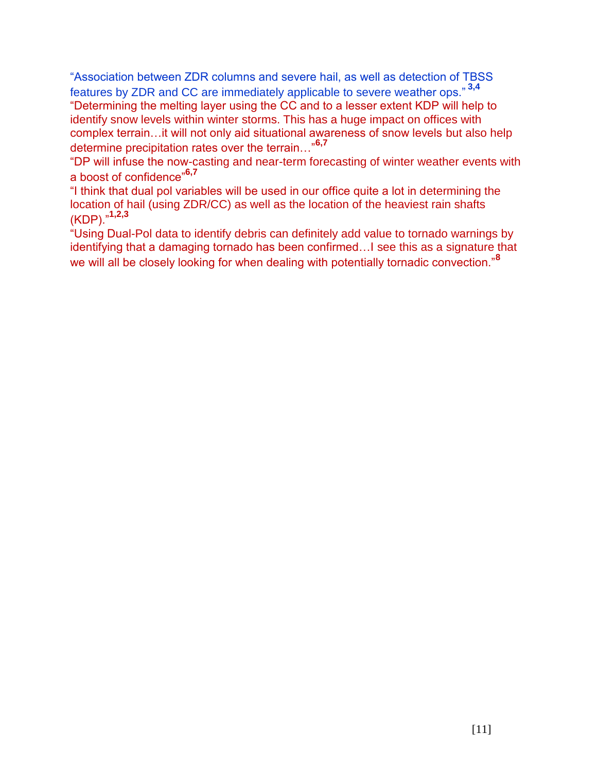"Association between ZDR columns and severe hail, as well as detection of TBSS features by ZDR and CC are immediately applicable to severe weather ops." **3,4** "Determining the melting layer using the CC and to a lesser extent KDP will help to identify snow levels within winter storms. This has a huge impact on offices with complex terrain…it will not only aid situational awareness of snow levels but also help determine precipitation rates over the terrain…"**6,7**

"DP will infuse the now-casting and near-term forecasting of winter weather events with a boost of confidence"**6,7**

"I think that dual pol variables will be used in our office quite a lot in determining the location of hail (using ZDR/CC) as well as the location of the heaviest rain shafts (KDP)."**1,2,3**

"Using Dual-Pol data to identify debris can definitely add value to tornado warnings by identifying that a damaging tornado has been confirmed…I see this as a signature that we will all be closely looking for when dealing with potentially tornadic convection."**<sup>8</sup>**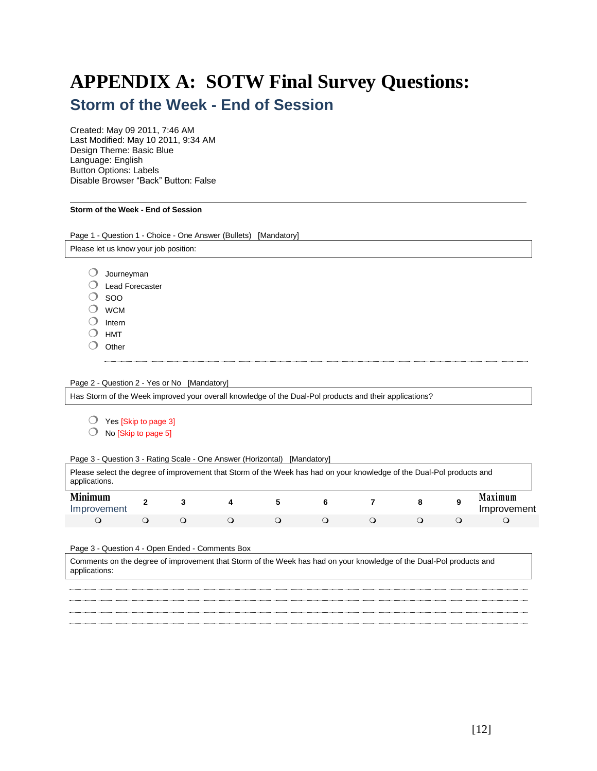## **APPENDIX A: SOTW Final Survey Questions: Storm of the Week - End of Session**

Created: May 09 2011, 7:46 AM Last Modified: May 10 2011, 9:34 AM Design Theme: Basic Blue Language: English Button Options: Labels Disable Browser "Back" Button: False

#### **Storm of the Week - End of Session**

Page 1 - Question 1 - Choice - One Answer (Bullets) [Mandatory] Please let us know your job position: Journeyman Lead Forecaster  $\bigcirc$  soo WCM  $O$  Intern  $O$  HMT  $O$  Other Page 2 - Question 2 - Yes or No [Mandatory] Has Storm of the Week improved your overall knowledge of the Dual-Pol products and their applications? Yes [Skip to page 3]  $\bigcirc$  No [Skip to page 5] Page 3 - Question 3 - Rating Scale - One Answer (Horizontal) [Mandatory] Please select the degree of improvement that Storm of the Week has had on your knowledge of the Dual-Pol products and applications. **Minimum**  Improvement **<sup>2</sup> <sup>3</sup> <sup>4</sup> <sup>5</sup> <sup>6</sup> <sup>7</sup> <sup>8</sup> <sup>9</sup> Maximum**  Improvement Page 3 - Question 4 - Open Ended - Comments Box Comments on the degree of improvement that Storm of the Week has had on your knowledge of the Dual-Pol products and applications: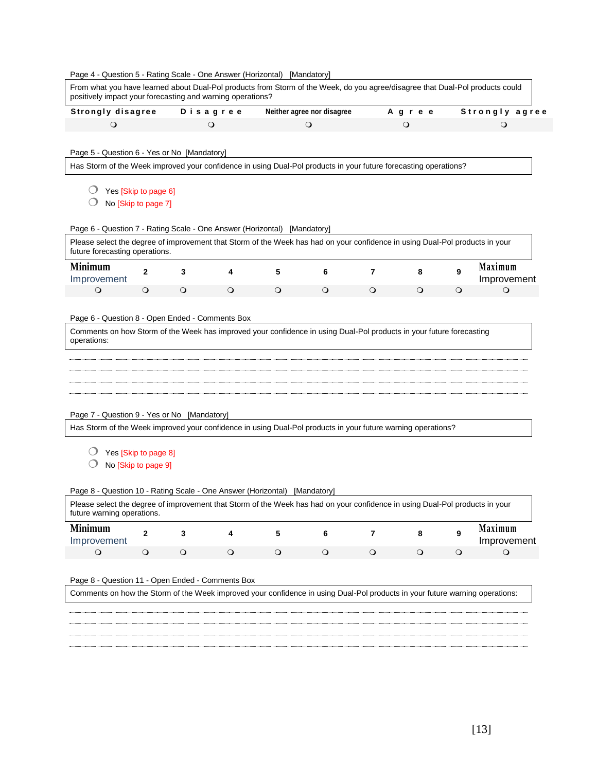|                                                                                                                                                                                                                                                           | <b>Strongly disagree</b> |            | Disagree |            | Neither agree nor disagree                                                                                   |            | Agree      |         | Strongly agree         |
|-----------------------------------------------------------------------------------------------------------------------------------------------------------------------------------------------------------------------------------------------------------|--------------------------|------------|----------|------------|--------------------------------------------------------------------------------------------------------------|------------|------------|---------|------------------------|
| $\circ$                                                                                                                                                                                                                                                   |                          |            | $\circ$  |            | $\circ$                                                                                                      |            | $\circ$    |         | $\circ$                |
|                                                                                                                                                                                                                                                           |                          |            |          |            |                                                                                                              |            |            |         |                        |
| Page 5 - Question 6 - Yes or No [Mandatory]                                                                                                                                                                                                               |                          |            |          |            |                                                                                                              |            |            |         |                        |
| Has Storm of the Week improved your confidence in using Dual-Pol products in your future forecasting operations?                                                                                                                                          |                          |            |          |            |                                                                                                              |            |            |         |                        |
|                                                                                                                                                                                                                                                           |                          |            |          |            |                                                                                                              |            |            |         |                        |
| Yes [Skip to page 6]                                                                                                                                                                                                                                      |                          |            |          |            |                                                                                                              |            |            |         |                        |
| No [Skip to page 7]                                                                                                                                                                                                                                       |                          |            |          |            |                                                                                                              |            |            |         |                        |
| Page 6 - Question 7 - Rating Scale - One Answer (Horizontal) [Mandatory]                                                                                                                                                                                  |                          |            |          |            |                                                                                                              |            |            |         |                        |
| Please select the degree of improvement that Storm of the Week has had on your confidence in using Dual-Pol products in your<br>future forecasting operations.                                                                                            |                          |            |          |            |                                                                                                              |            |            |         |                        |
| <b>Minimum</b><br>Improvement                                                                                                                                                                                                                             | $\mathbf{2}$             | 3          | 4        | 5          | 6                                                                                                            | 7          | 8          | 9       | Maximum<br>Improvement |
| $\circ$                                                                                                                                                                                                                                                   | $\circ$                  | $\circ$    | $\circ$  | $\circ$    | $\circ$                                                                                                      | $\circ$    | $\circ$    | $\circ$ | $\circ$                |
|                                                                                                                                                                                                                                                           |                          |            |          |            |                                                                                                              |            |            |         |                        |
| Page 6 - Question 8 - Open Ended - Comments Box                                                                                                                                                                                                           |                          |            |          |            |                                                                                                              |            |            |         |                        |
| Page 7 - Question 9 - Yes or No [Mandatory]                                                                                                                                                                                                               |                          |            |          |            | Has Storm of the Week improved your confidence in using Dual-Pol products in your future warning operations? |            |            |         |                        |
| Yes [Skip to page 8]                                                                                                                                                                                                                                      |                          |            |          |            |                                                                                                              |            |            |         |                        |
| No [Skip to page 9]                                                                                                                                                                                                                                       |                          |            |          |            |                                                                                                              |            |            |         |                        |
|                                                                                                                                                                                                                                                           |                          |            |          |            |                                                                                                              |            |            |         |                        |
|                                                                                                                                                                                                                                                           |                          |            |          |            |                                                                                                              |            |            |         |                        |
| Page 8 - Question 10 - Rating Scale - One Answer (Horizontal) [Mandatory]<br>Please select the degree of improvement that Storm of the Week has had on your confidence in using Dual-Pol products in your<br>future warning operations.<br><b>Minimum</b> | 2                        | 3          | 4        | 5          | 6                                                                                                            | 7          | 8          | 9       | Maximum                |
| Improvement<br>$\bigcirc$                                                                                                                                                                                                                                 | $\bigcirc$               | $\bigcirc$ | $\circ$  | $\bigcirc$ | $\circ$                                                                                                      | $\bigcirc$ | $\bigcirc$ | $\circ$ | Improvement<br>$\circ$ |
|                                                                                                                                                                                                                                                           |                          |            |          |            |                                                                                                              |            |            |         |                        |
| Page 8 - Question 11 - Open Ended - Comments Box                                                                                                                                                                                                          |                          |            |          |            |                                                                                                              |            |            |         |                        |
| Comments on how the Storm of the Week improved your confidence in using Dual-Pol products in your future warning operations:                                                                                                                              |                          |            |          |            |                                                                                                              |            |            |         |                        |
|                                                                                                                                                                                                                                                           |                          |            |          |            |                                                                                                              |            |            |         |                        |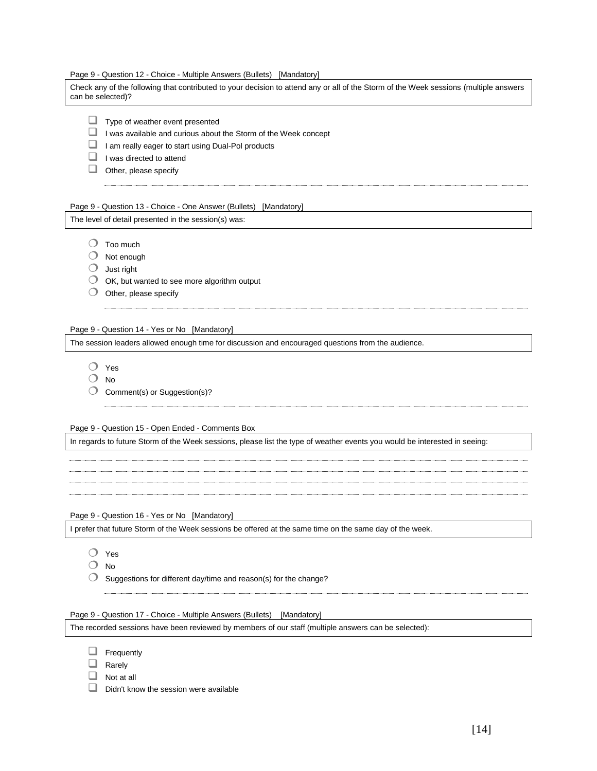Page 9 - Question 12 - Choice - Multiple Answers (Bullets) [Mandatory]

Check any of the following that contributed to your decision to attend any or all of the Storm of the Week sessions (multiple answers can be selected)?

- $\Box$  Type of weather event presented
- $\Box$  I was available and curious about the Storm of the Week concept
- I am really eager to start using Dual-Pol products
- $\Box$  I was directed to attend
- $\Box$  Other, please specify

Page 9 - Question 13 - Choice - One Answer (Bullets) [Mandatory]

The level of detail presented in the session(s) was:

 $\bigcirc$  Too much

- Not enough
- $\bigcirc$  Just right
- $\bigcirc$  OK, but wanted to see more algorithm output
- $\bigcirc$  Other, please specify

#### Page 9 - Question 14 - Yes or No [Mandatory]

The session leaders allowed enough time for discussion and encouraged questions from the audience.

- Yes
- $O$  No
- Comment(s) or Suggestion(s)?

Page 9 - Question 15 - Open Ended - Comments Box

In regards to future Storm of the Week sessions, please list the type of weather events you would be interested in seeing:

Page 9 - Question 16 - Yes or No [Mandatory]

I prefer that future Storm of the Week sessions be offered at the same time on the same day of the week.

- Yes
- O No
- $\bigcirc$  Suggestions for different day/time and reason(s) for the change?

Page 9 - Question 17 - Choice - Multiple Answers (Bullets) [Mandatory]

The recorded sessions have been reviewed by members of our staff (multiple answers can be selected):

- $\Box$  Frequently
- $\Box$  Rarely
- $\Box$  Not at all
- $\Box$  Didn't know the session were available